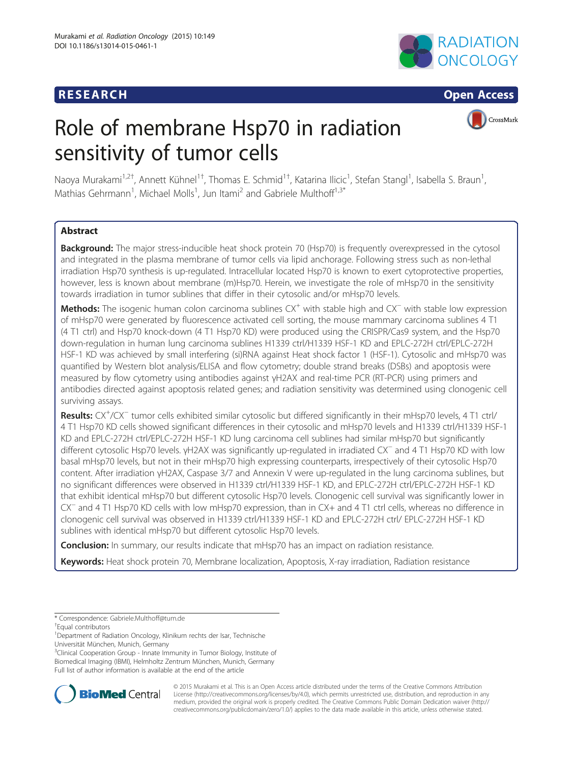## **RESEARCH RESEARCH CONSUMING ACCESS**



CrossMark

# Role of membrane Hsp70 in radiation sensitivity of tumor cells

Naoya Murakami<sup>1,2†</sup>, Annett Kühnel<sup>1†</sup>, Thomas E. Schmid<sup>1†</sup>, Katarina Ilicic<sup>1</sup>, Stefan Stangl<sup>1</sup>, Isabella S. Braun<sup>1</sup> , Mathias Gehrmann<sup>1</sup>, Michael Molls<sup>1</sup>, Jun Itami<sup>2</sup> and Gabriele Multhoff<sup>1,3\*</sup>

## **Abstract**

Background: The major stress-inducible heat shock protein 70 (Hsp70) is frequently overexpressed in the cytosol and integrated in the plasma membrane of tumor cells via lipid anchorage. Following stress such as non-lethal irradiation Hsp70 synthesis is up-regulated. Intracellular located Hsp70 is known to exert cytoprotective properties, however, less is known about membrane (m)Hsp70. Herein, we investigate the role of mHsp70 in the sensitivity towards irradiation in tumor sublines that differ in their cytosolic and/or mHsp70 levels.

Methods: The isogenic human colon carcinoma sublines CX<sup>+</sup> with stable high and CX<sup>−</sup> with stable low expression of mHsp70 were generated by fluorescence activated cell sorting, the mouse mammary carcinoma sublines 4 T1 (4 T1 ctrl) and Hsp70 knock-down (4 T1 Hsp70 KD) were produced using the CRISPR/Cas9 system, and the Hsp70 down-regulation in human lung carcinoma sublines H1339 ctrl/H1339 HSF-1 KD and EPLC-272H ctrl/EPLC-272H HSF-1 KD was achieved by small interfering (si)RNA against Heat shock factor 1 (HSF-1). Cytosolic and mHsp70 was quantified by Western blot analysis/ELISA and flow cytometry; double strand breaks (DSBs) and apoptosis were measured by flow cytometry using antibodies against γH2AX and real-time PCR (RT-PCR) using primers and antibodies directed against apoptosis related genes; and radiation sensitivity was determined using clonogenic cell surviving assays.

Results: CX<sup>+</sup>/CX<sup>-</sup> tumor cells exhibited similar cytosolic but differed significantly in their mHsp70 levels, 4 T1 ctrl/ 4 T1 Hsp70 KD cells showed significant differences in their cytosolic and mHsp70 levels and H1339 ctrl/H1339 HSF-1 KD and EPLC-272H ctrl/EPLC-272H HSF-1 KD lung carcinoma cell sublines had similar mHsp70 but significantly different cytosolic Hsp70 levels. γH2AX was significantly up-regulated in irradiated CX<sup>−</sup> and 4 T1 Hsp70 KD with low basal mHsp70 levels, but not in their mHsp70 high expressing counterparts, irrespectively of their cytosolic Hsp70 content. After irradiation γH2AX, Caspase 3/7 and Annexin V were up-regulated in the lung carcinoma sublines, but no significant differences were observed in H1339 ctrl/H1339 HSF-1 KD, and EPLC-272H ctrl/EPLC-272H HSF-1 KD that exhibit identical mHsp70 but different cytosolic Hsp70 levels. Clonogenic cell survival was significantly lower in CX<sup>−</sup> and 4 T1 Hsp70 KD cells with low mHsp70 expression, than in CX+ and 4 T1 ctrl cells, whereas no difference in clonogenic cell survival was observed in H1339 ctrl/H1339 HSF-1 KD and EPLC-272H ctrl/ EPLC-272H HSF-1 KD sublines with identical mHsp70 but different cytosolic Hsp70 levels.

**Conclusion:** In summary, our results indicate that mHsp70 has an impact on radiation resistance.

Keywords: Heat shock protein 70, Membrane localization, Apoptosis, X-ray irradiation, Radiation resistance

<sup>3</sup>Clinical Cooperation Group - Innate Immunity in Tumor Biology, Institute of Biomedical Imaging (IBMI), Helmholtz Zentrum München, Munich, Germany Full list of author information is available at the end of the article



© 2015 Murakami et al. This is an Open Access article distributed under the terms of the Creative Commons Attribution License (<http://creativecommons.org/licenses/by/4.0>), which permits unrestricted use, distribution, and reproduction in any medium, provided the original work is properly credited. The Creative Commons Public Domain Dedication waiver [\(http://](http://creativecommons.org/publicdomain/zero/1.0/) [creativecommons.org/publicdomain/zero/1.0/\)](http://creativecommons.org/publicdomain/zero/1.0/) applies to the data made available in this article, unless otherwise stated.

<sup>\*</sup> Correspondence: [Gabriele.Multhoff@tum.de](mailto:Gabriele.Multhoff@tum.de) †

Equal contributors

<sup>&</sup>lt;sup>1</sup>Department of Radiation Oncology, Klinikum rechts der Isar, Technische Universität München, Munich, Germany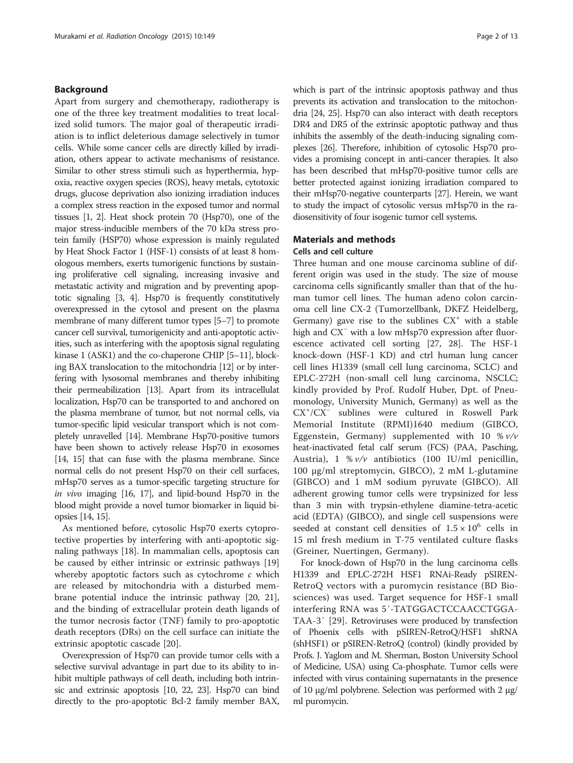#### Background

Apart from surgery and chemotherapy, radiotherapy is one of the three key treatment modalities to treat localized solid tumors. The major goal of therapeutic irradiation is to inflict deleterious damage selectively in tumor cells. While some cancer cells are directly killed by irradiation, others appear to activate mechanisms of resistance. Similar to other stress stimuli such as hyperthermia, hypoxia, reactive oxygen species (ROS), heavy metals, cytotoxic drugs, glucose deprivation also ionizing irradiation induces a complex stress reaction in the exposed tumor and normal tissues [\[1](#page-11-0), [2\]](#page-11-0). Heat shock protein 70 (Hsp70), one of the major stress-inducible members of the 70 kDa stress protein family (HSP70) whose expression is mainly regulated by Heat Shock Factor 1 (HSF-1) consists of at least 8 homologous members, exerts tumorigenic functions by sustaining proliferative cell signaling, increasing invasive and metastatic activity and migration and by preventing apoptotic signaling [\[3, 4\]](#page-11-0). Hsp70 is frequently constitutively overexpressed in the cytosol and present on the plasma membrane of many different tumor types [\[5](#page-11-0)–[7](#page-11-0)] to promote cancer cell survival, tumorigenicity and anti-apoptotic activities, such as interfering with the apoptosis signal regulating kinase 1 (ASK1) and the co-chaperone CHIP [[5](#page-11-0)–[11](#page-11-0)], blocking BAX translocation to the mitochondria [[12](#page-11-0)] or by interfering with lysosomal membranes and thereby inhibiting their permeabilization [\[13](#page-11-0)]. Apart from its intracellulat localization, Hsp70 can be transported to and anchored on the plasma membrane of tumor, but not normal cells, via tumor-specific lipid vesicular transport which is not completely unravelled [[14](#page-11-0)]. Membrane Hsp70-positive tumors have been shown to actively release Hsp70 in exosomes [[14](#page-11-0), [15\]](#page-11-0) that can fuse with the plasma membrane. Since normal cells do not present Hsp70 on their cell surfaces, mHsp70 serves as a tumor-specific targeting structure for in vivo imaging [\[16, 17\]](#page-11-0), and lipid-bound Hsp70 in the blood might provide a novel tumor biomarker in liquid biopsies [\[14](#page-11-0), [15\]](#page-11-0).

As mentioned before, cytosolic Hsp70 exerts cytoprotective properties by interfering with anti-apoptotic signaling pathways [\[18\]](#page-11-0). In mammalian cells, apoptosis can be caused by either intrinsic or extrinsic pathways [[19](#page-11-0)] whereby apoptotic factors such as cytochrome  $c$  which are released by mitochondria with a disturbed membrane potential induce the intrinsic pathway [\[20, 21](#page-11-0)], and the binding of extracellular protein death ligands of the tumor necrosis factor (TNF) family to pro-apoptotic death receptors (DRs) on the cell surface can initiate the extrinsic apoptotic cascade [[20\]](#page-11-0).

Overexpression of Hsp70 can provide tumor cells with a selective survival advantage in part due to its ability to inhibit multiple pathways of cell death, including both intrinsic and extrinsic apoptosis [\[10](#page-11-0), [22](#page-11-0), [23\]](#page-11-0). Hsp70 can bind directly to the pro-apoptotic Bcl-2 family member BAX, which is part of the intrinsic apoptosis pathway and thus prevents its activation and translocation to the mitochondria [\[24, 25\]](#page-11-0). Hsp70 can also interact with death receptors DR4 and DR5 of the extrinsic apoptotic pathway and thus inhibits the assembly of the death-inducing signaling complexes [\[26](#page-11-0)]. Therefore, inhibition of cytosolic Hsp70 provides a promising concept in anti-cancer therapies. It also has been described that mHsp70-positive tumor cells are better protected against ionizing irradiation compared to their mHsp70-negative counterparts [\[27](#page-11-0)]. Herein, we want to study the impact of cytosolic versus mHsp70 in the radiosensitivity of four isogenic tumor cell systems.

## Materials and methods

#### Cells and cell culture

Three human and one mouse carcinoma subline of different origin was used in the study. The size of mouse carcinoma cells significantly smaller than that of the human tumor cell lines. The human adeno colon carcinoma cell line CX-2 (Tumorzellbank, DKFZ Heidelberg, Germany) gave rise to the sublines  $CX^+$  with a stable high and CX<sup>−</sup> with a low mHsp70 expression after fluorescence activated cell sorting [\[27, 28](#page-11-0)]. The HSF-1 knock-down (HSF-1 KD) and ctrl human lung cancer cell lines H1339 (small cell lung carcinoma, SCLC) and EPLC-272H (non-small cell lung carcinoma, NSCLC; kindly provided by Prof. Rudolf Huber, Dpt. of Pneumonology, University Munich, Germany) as well as the CX<sup>+</sup> /CX<sup>−</sup> sublines were cultured in Roswell Park Memorial Institute (RPMI)1640 medium (GIBCO, Eggenstein, Germany) supplemented with 10 %  $v/v$ heat-inactivated fetal calf serum (FCS) (PAA, Pasching, Austria),  $1 \% v/v$  antibiotics (100 IU/ml penicillin, 100 μg/ml streptomycin, GIBCO), 2 mM L-glutamine (GIBCO) and 1 mM sodium pyruvate (GIBCO). All adherent growing tumor cells were trypsinized for less than 3 min with trypsin-ethylene diamine-tetra-acetic acid (EDTA) (GIBCO), and single cell suspensions were seeded at constant cell densities of  $1.5 \times 10^6$  cells in 15 ml fresh medium in T-75 ventilated culture flasks (Greiner, Nuertingen, Germany).

For knock-down of Hsp70 in the lung carcinoma cells H1339 and EPLC-272H HSF1 RNAi-Ready pSIREN-RetroQ vectors with a puromycin resistance (BD Biosciences) was used. Target sequence for HSF-1 small interfering RNA was 5′-TATGGACTCCAACCTGGA-TAA-3′ [\[29](#page-11-0)]. Retroviruses were produced by transfection of Phoenix cells with pSIREN-RetroQ/HSF1 shRNA (shHSF1) or pSIREN-RetroQ (control) (kindly provided by Profs. J. Yaglom and M. Sherman, Boston University School of Medicine, USA) using Ca-phosphate. Tumor cells were infected with virus containing supernatants in the presence of 10 μg/ml polybrene. Selection was performed with 2 μg/ ml puromycin.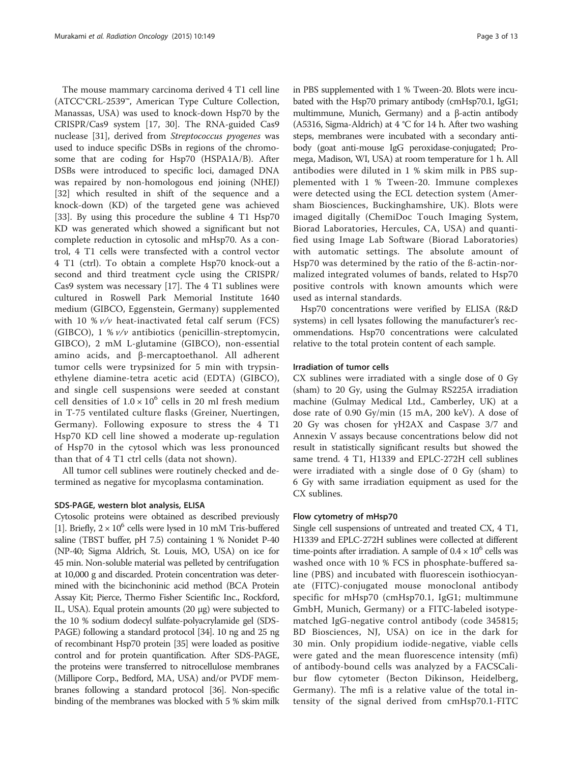The mouse mammary carcinoma derived 4 T1 cell line (ATCC®CRL-2539™, American Type Culture Collection, Manassas, USA) was used to knock-down Hsp70 by the CRISPR/Cas9 system [\[17](#page-11-0), [30\]](#page-11-0). The RNA-guided Cas9 nuclease [\[31\]](#page-11-0), derived from Streptococcus pyogenes was used to induce specific DSBs in regions of the chromosome that are coding for Hsp70 (HSPA1A/B). After DSBs were introduced to specific loci, damaged DNA was repaired by non-homologous end joining (NHEJ) [[32\]](#page-11-0) which resulted in shift of the sequence and a knock-down (KD) of the targeted gene was achieved [[33\]](#page-11-0). By using this procedure the subline 4 T1 Hsp70 KD was generated which showed a significant but not complete reduction in cytosolic and mHsp70. As a control, 4 T1 cells were transfected with a control vector 4 T1 (ctrl). To obtain a complete Hsp70 knock-out a second and third treatment cycle using the CRISPR/ Cas9 system was necessary [\[17](#page-11-0)]. The 4 T1 sublines were cultured in Roswell Park Memorial Institute 1640 medium (GIBCO, Eggenstein, Germany) supplemented with 10 %  $v/v$  heat-inactivated fetal calf serum (FCS) (GIBCO),  $1 \frac{1}{2}$  //v antibiotics (penicillin-streptomycin, GIBCO), 2 mM L-glutamine (GIBCO), non-essential amino acids, and β-mercaptoethanol. All adherent tumor cells were trypsinized for 5 min with trypsinethylene diamine-tetra acetic acid (EDTA) (GIBCO), and single cell suspensions were seeded at constant cell densities of  $1.0 \times 10^6$  cells in 20 ml fresh medium in T-75 ventilated culture flasks (Greiner, Nuertingen, Germany). Following exposure to stress the 4 T1 Hsp70 KD cell line showed a moderate up-regulation of Hsp70 in the cytosol which was less pronounced than that of 4 T1 ctrl cells (data not shown).

All tumor cell sublines were routinely checked and determined as negative for mycoplasma contamination.

#### SDS-PAGE, western blot analysis, ELISA

Cytosolic proteins were obtained as described previously [[1](#page-11-0)]. Briefly,  $2 \times 10^6$  cells were lysed in 10 mM Tris-buffered saline (TBST buffer, pH 7.5) containing 1 % Nonidet P-40 (NP-40; Sigma Aldrich, St. Louis, MO, USA) on ice for 45 min. Non-soluble material was pelleted by centrifugation at 10,000 g and discarded. Protein concentration was determined with the bicinchoninic acid method (BCA Protein Assay Kit; Pierce, Thermo Fisher Scientific Inc., Rockford, IL, USA). Equal protein amounts (20 μg) were subjected to the 10 % sodium dodecyl sulfate-polyacrylamide gel (SDS-PAGE) following a standard protocol [\[34\]](#page-11-0). 10 ng and 25 ng of recombinant Hsp70 protein [\[35\]](#page-11-0) were loaded as positive control and for protein quantification. After SDS-PAGE, the proteins were transferred to nitrocellulose membranes (Millipore Corp., Bedford, MA, USA) and/or PVDF membranes following a standard protocol [[36](#page-11-0)]. Non-specific binding of the membranes was blocked with 5 % skim milk in PBS supplemented with 1 % Tween-20. Blots were incubated with the Hsp70 primary antibody (cmHsp70.1, IgG1; multimmune, Munich, Germany) and a β-actin antibody (A5316, Sigma-Aldrich) at 4 °C for 14 h. After two washing steps, membranes were incubated with a secondary antibody (goat anti-mouse IgG peroxidase-conjugated; Promega, Madison, WI, USA) at room temperature for 1 h. All antibodies were diluted in 1 % skim milk in PBS supplemented with 1 % Tween-20. Immune complexes were detected using the ECL detection system (Amersham Biosciences, Buckinghamshire, UK). Blots were imaged digitally (ChemiDoc Touch Imaging System, Biorad Laboratories, Hercules, CA, USA) and quantified using Image Lab Software (Biorad Laboratories) with automatic settings. The absolute amount of Hsp70 was determined by the ratio of the ß-actin-normalized integrated volumes of bands, related to Hsp70 positive controls with known amounts which were used as internal standards.

Hsp70 concentrations were verified by ELISA (R&D systems) in cell lysates following the manufacturer's recommendations. Hsp70 concentrations were calculated relative to the total protein content of each sample.

#### Irradiation of tumor cells

CX sublines were irradiated with a single dose of 0 Gy (sham) to 20 Gy, using the Gulmay RS225A irradiation machine (Gulmay Medical Ltd., Camberley, UK) at a dose rate of 0.90 Gy/min (15 mA, 200 keV). A dose of 20 Gy was chosen for γH2AX and Caspase 3/7 and Annexin V assays because concentrations below did not result in statistically significant results but showed the same trend. 4 T1, H1339 and EPLC-272H cell sublines were irradiated with a single dose of 0 Gy (sham) to 6 Gy with same irradiation equipment as used for the CX sublines.

#### Flow cytometry of mHsp70

Single cell suspensions of untreated and treated CX, 4 T1, H1339 and EPLC-272H sublines were collected at different time-points after irradiation. A sample of  $0.4 \times 10^6$  cells was washed once with 10 % FCS in phosphate-buffered saline (PBS) and incubated with fluorescein isothiocyanate (FITC)-conjugated mouse monoclonal antibody specific for mHsp70 (cmHsp70.1, IgG1; multimmune GmbH, Munich, Germany) or a FITC-labeled isotypematched IgG-negative control antibody (code 345815; BD Biosciences, NJ, USA) on ice in the dark for 30 min. Only propidium iodide-negative, viable cells were gated and the mean fluorescence intensity (mfi) of antibody-bound cells was analyzed by a FACSCalibur flow cytometer (Becton Dikinson, Heidelberg, Germany). The mfi is a relative value of the total intensity of the signal derived from cmHsp70.1-FITC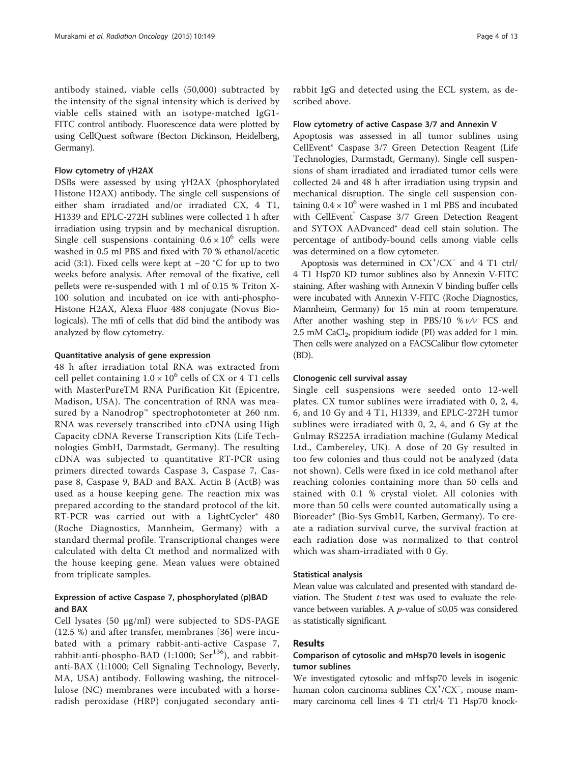antibody stained, viable cells (50,000) subtracted by the intensity of the signal intensity which is derived by viable cells stained with an isotype-matched IgG1- FITC control antibody. Fluorescence data were plotted by using CellQuest software (Becton Dickinson, Heidelberg, Germany).

#### Flow cytometry of үH2AX

DSBs were assessed by using γH2AX (phosphorylated Histone H2AX) antibody. The single cell suspensions of either sham irradiated and/or irradiated CX, 4 T1, H1339 and EPLC-272H sublines were collected 1 h after irradiation using trypsin and by mechanical disruption. Single cell suspensions containing  $0.6 \times 10^6$  cells were washed in 0.5 ml PBS and fixed with 70 % ethanol/acetic acid (3:1). Fixed cells were kept at −20 °C for up to two weeks before analysis. After removal of the fixative, cell pellets were re-suspended with 1 ml of 0.15 % Triton X-100 solution and incubated on ice with anti-phospho-Histone H2AX, Alexa Fluor 488 conjugate (Novus Biologicals). The mfi of cells that did bind the antibody was analyzed by flow cytometry.

#### Quantitative analysis of gene expression

48 h after irradiation total RNA was extracted from cell pellet containing  $1.0 \times 10^6$  cells of CX or 4 T1 cells with MasterPureTM RNA Purification Kit (Epicentre, Madison, USA). The concentration of RNA was measured by a Nanodrop™ spectrophotometer at 260 nm. RNA was reversely transcribed into cDNA using High Capacity cDNA Reverse Transcription Kits (Life Technologies GmbH, Darmstadt, Germany). The resulting cDNA was subjected to quantitative RT-PCR using primers directed towards Caspase 3, Caspase 7, Caspase 8, Caspase 9, BAD and BAX. Actin B (ActB) was used as a house keeping gene. The reaction mix was prepared according to the standard protocol of the kit. RT-PCR was carried out with a LightCycler® 480 (Roche Diagnostics, Mannheim, Germany) with a standard thermal profile. Transcriptional changes were calculated with delta Ct method and normalized with the house keeping gene. Mean values were obtained from triplicate samples.

#### Expression of active Caspase 7, phosphorylated (p)BAD and BAX

Cell lysates (50 μg/ml) were subjected to SDS-PAGE (12.5 %) and after transfer, membranes [[36\]](#page-11-0) were incubated with a primary rabbit-anti-active Caspase 7, rabbit-anti-phospho-BAD (1:1000; Ser<sup>136</sup>), and rabbitanti-BAX (1:1000; Cell Signaling Technology, Beverly, MA, USA) antibody. Following washing, the nitrocellulose (NC) membranes were incubated with a horseradish peroxidase (HRP) conjugated secondary anti-

rabbit IgG and detected using the ECL system, as described above.

#### Flow cytometry of active Caspase 3/7 and Annexin V

Apoptosis was assessed in all tumor sublines using CellEvent® Caspase 3/7 Green Detection Reagent (Life Technologies, Darmstadt, Germany). Single cell suspensions of sham irradiated and irradiated tumor cells were collected 24 and 48 h after irradiation using trypsin and mechanical disruption. The single cell suspension containing  $0.4 \times 10^6$  were washed in 1 ml PBS and incubated with CellEvent<sup>®</sup> Caspase 3/7 Green Detection Reagent and SYTOX AADvanced® dead cell stain solution. The percentage of antibody-bound cells among viable cells was determined on a flow cytometer.

Apoptosis was determined in CX<sup>+</sup>/CX<sup>-</sup> and 4 T1 ctrl/ 4 T1 Hsp70 KD tumor sublines also by Annexin V-FITC staining. After washing with Annexin V binding buffer cells were incubated with Annexin V-FITC (Roche Diagnostics, Mannheim, Germany) for 15 min at room temperature. After another washing step in PBS/10  $\%$   $v/v$  FCS and  $2.5$  mM CaCl<sub>2</sub>, propidium iodide (PI) was added for 1 min. Then cells were analyzed on a FACSCalibur flow cytometer (BD).

#### Clonogenic cell survival assay

Single cell suspensions were seeded onto 12-well plates. CX tumor sublines were irradiated with 0, 2, 4, 6, and 10 Gy and 4 T1, H1339, and EPLC-272H tumor sublines were irradiated with 0, 2, 4, and 6 Gy at the Gulmay RS225A irradiation machine (Gulamy Medical Ltd., Cambereley, UK). A dose of 20 Gy resulted in too few colonies and thus could not be analyzed (data not shown). Cells were fixed in ice cold methanol after reaching colonies containing more than 50 cells and stained with 0.1 % crystal violet. All colonies with more than 50 cells were counted automatically using a Bioreader® (Bio-Sys GmbH, Karben, Germany). To create a radiation survival curve, the survival fraction at each radiation dose was normalized to that control which was sham-irradiated with 0 Gy.

#### Statistical analysis

Mean value was calculated and presented with standard deviation. The Student  $t$ -test was used to evaluate the relevance between variables. A *p*-value of ≤0.05 was considered as statistically significant.

#### Results

#### Comparison of cytosolic and mHsp70 levels in isogenic tumor sublines

We investigated cytosolic and mHsp70 levels in isogenic human colon carcinoma sublines CX<sup>+</sup>/CX<sup>-</sup>, mouse mammary carcinoma cell lines 4 T1 ctrl/4 T1 Hsp70 knock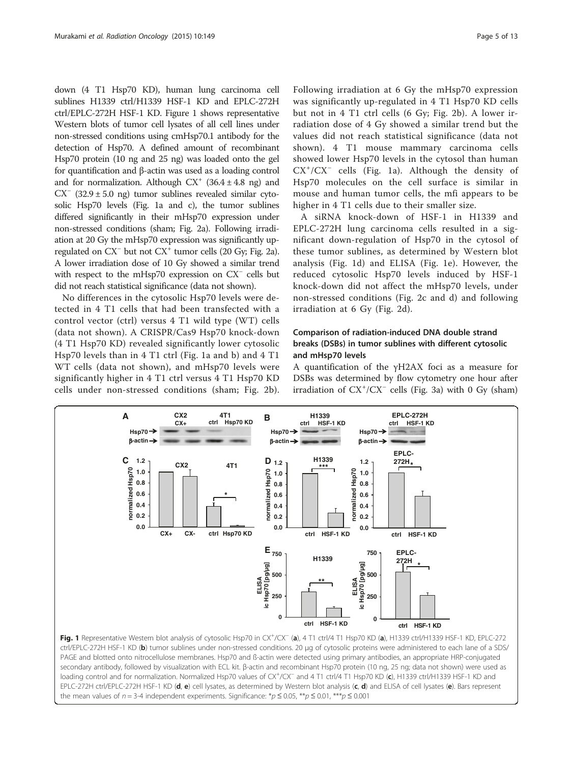<span id="page-4-0"></span>down (4 T1 Hsp70 KD), human lung carcinoma cell sublines H1339 ctrl/H1339 HSF-1 KD and EPLC-272H ctrl/EPLC-272H HSF-1 KD. Figure 1 shows representative Western blots of tumor cell lysates of all cell lines under non-stressed conditions using cmHsp70.1 antibody for the detection of Hsp70. A defined amount of recombinant Hsp70 protein (10 ng and 25 ng) was loaded onto the gel for quantification and β-actin was used as a loading control and for normalization. Although  $CX^{+}$  (36.4  $\pm$  4.8 ng) and  $CX^{-}$  (32.9 ± 5.0 ng) tumor sublines revealed similar cytosolic Hsp70 levels (Fig. 1a and c), the tumor sublines differed significantly in their mHsp70 expression under non-stressed conditions (sham; Fig. [2a\)](#page-5-0). Following irradiation at 20 Gy the mHsp70 expression was significantly upregulated on CX<sup>−</sup> but not CX+ tumor cells (20 Gy; Fig. [2a](#page-5-0)). A lower irradiation dose of 10 Gy showed a similar trend with respect to the mHsp70 expression on CX<sup>−</sup> cells but did not reach statistical significance (data not shown).

No differences in the cytosolic Hsp70 levels were detected in 4 T1 cells that had been transfected with a control vector (ctrl) versus 4 T1 wild type (WT) cells (data not shown). A CRISPR/Cas9 Hsp70 knock-down (4 T1 Hsp70 KD) revealed significantly lower cytosolic Hsp70 levels than in 4 T1 ctrl (Fig. 1a and b) and 4 T1 WT cells (data not shown), and mHsp70 levels were significantly higher in 4 T1 ctrl versus 4 T1 Hsp70 KD cells under non-stressed conditions (sham; Fig. [2b](#page-5-0)).

Following irradiation at 6 Gy the mHsp70 expression was significantly up-regulated in 4 T1 Hsp70 KD cells but not in 4 T1 ctrl cells (6 Gy; Fig. [2b](#page-5-0)). A lower irradiation dose of 4 Gy showed a similar trend but the values did not reach statistical significance (data not shown). 4 T1 mouse mammary carcinoma cells showed lower Hsp70 levels in the cytosol than human CX<sup>+</sup>/CX<sup>-</sup> cells (Fig. 1a). Although the density of Hsp70 molecules on the cell surface is similar in mouse and human tumor cells, the mfi appears to be higher in 4 T1 cells due to their smaller size.

A siRNA knock-down of HSF-1 in H1339 and EPLC-272H lung carcinoma cells resulted in a significant down-regulation of Hsp70 in the cytosol of these tumor sublines, as determined by Western blot analysis (Fig. 1d) and ELISA (Fig. 1e). However, the reduced cytosolic Hsp70 levels induced by HSF-1 knock-down did not affect the mHsp70 levels, under non-stressed conditions (Fig. [2c](#page-5-0) and [d](#page-5-0)) and following irradiation at 6 Gy (Fig. [2d](#page-5-0)).

## Comparison of radiation-induced DNA double strand breaks (DSBs) in tumor sublines with different cytosolic and mHsp70 levels

A quantification of the γH2AX foci as a measure for DSBs was determined by flow cytometry one hour after irradiation of CX<sup>+</sup> /CX<sup>−</sup> cells (Fig. [3a\)](#page-5-0) with 0 Gy (sham)

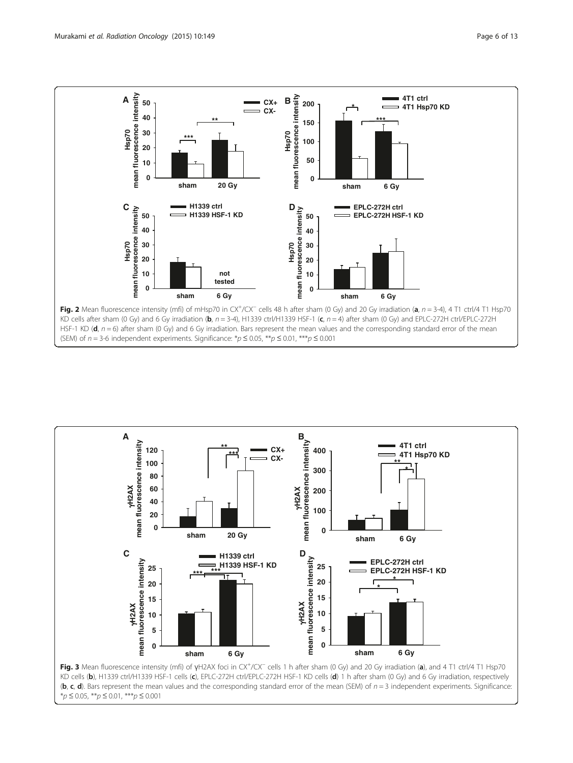<span id="page-5-0"></span>

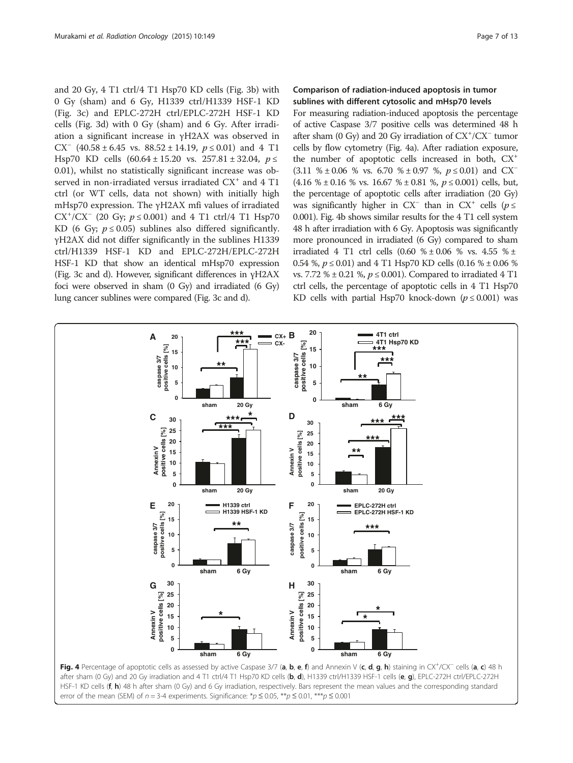<span id="page-6-0"></span>and 20 Gy, 4 T1 ctrl/4 T1 Hsp70 KD cells (Fig. [3b](#page-5-0)) with 0 Gy (sham) and 6 Gy, H1339 ctrl/H1339 HSF-1 KD (Fig. [3c](#page-5-0)) and EPLC-272H ctrl/EPLC-272H HSF-1 KD cells (Fig. [3d\)](#page-5-0) with 0 Gy (sham) and 6 Gy. After irradiation a significant increase in γH2AX was observed in CX<sup>-</sup> (40.58 ± 6.45 vs.  $88.52 \pm 14.19$ ,  $p \le 0.01$ ) and 4 T1 Hsp70 KD cells  $(60.64 \pm 15.20 \text{ vs. } 257.81 \pm 32.04, p \le$ 0.01), whilst no statistically significant increase was observed in non-irradiated versus irradiated CX<sup>+</sup> and 4 T1 ctrl (or WT cells, data not shown) with initially high mHsp70 expression. The γH2AX mfi values of irradiated  $CX^{+}/CX^{-}$  (20 Gy;  $p \le 0.001$ ) and 4 T1 ctrl/4 T1 Hsp70<br>KD (6 Gy;  $p \le 0.05$ ) sublines also differed significantly KD (6 Gy;  $p \le 0.05$ ) sublines also differed significantly. γH2AX did not differ significantly in the sublines H1339 ctrl/H1339 HSF-1 KD and EPLC-272H/EPLC-272H HSF-1 KD that show an identical mHsp70 expression (Fig. [3c](#page-5-0) and [d](#page-5-0)). However, significant differences in үH2AX foci were observed in sham (0 Gy) and irradiated (6 Gy) lung cancer sublines were compared (Fig. [3c](#page-5-0) and [d\)](#page-5-0).

## Comparison of radiation-induced apoptosis in tumor sublines with different cytosolic and mHsp70 levels

For measuring radiation-induced apoptosis the percentage of active Caspase 3/7 positive cells was determined 48 h after sham (0 Gy) and 20 Gy irradiation of  $CX^{\dagger}/CX^{-}$  tumor cells by flow cytometry (Fig. 4a). After radiation exposure, the number of apoptotic cells increased in both,  $CX^+$  $(3.11 \text{ %} \pm 0.06 \text{ % vs. } 6.70 \text{ %} \pm 0.97 \text{ %}, p \leq 0.01)$  and CX<sup>−</sup>  $(4.16 \text{ % } \pm 0.16 \text{ % vs. } 16.67 \text{ % } \pm 0.81 \text{ %}, p \leq 0.001)$  cells, but, the percentage of apoptotic cells after irradiation (20 Gy) was significantly higher in CX<sup>-</sup> than in CX<sup>+</sup> cells ( $p \le$ 0.001). Fig. 4b shows similar results for the 4 T1 cell system 48 h after irradiation with 6 Gy. Apoptosis was significantly more pronounced in irradiated (6 Gy) compared to sham irradiated 4 T1 ctrl cells  $(0.60 \% \pm 0.06 \% \text{ vs. } 4.55 \% \pm 0.06 \text{ vs. } 4.55 \% \pm 0.06 \text{ vs. } 4.55 \% \pm 0.06 \text{ vs. } 4.55 \% \pm 0.06 \text{ vs. } 4.55 \% \pm 0.06 \text{ vs. } 4.55 \% \pm 0.06 \text{ vs. } 4.55 \% \pm 0.06 \text{ vs. } 4.55 \% \pm 0.06 \text{ vs. } 4.55 \% \pm 0.06 \text{ vs. } 4$ 0.54 %,  $p \le 0.01$ ) and 4 T1 Hsp70 KD cells (0.16 % ± 0.06 % vs. 7.72 %  $\pm$  0.21 %,  $p \le 0.001$ ). Compared to irradiated 4 T1 ctrl cells, the percentage of apoptotic cells in 4 T1 Hsp70 KD cells with partial Hsp70 knock-down ( $p \le 0.001$ ) was

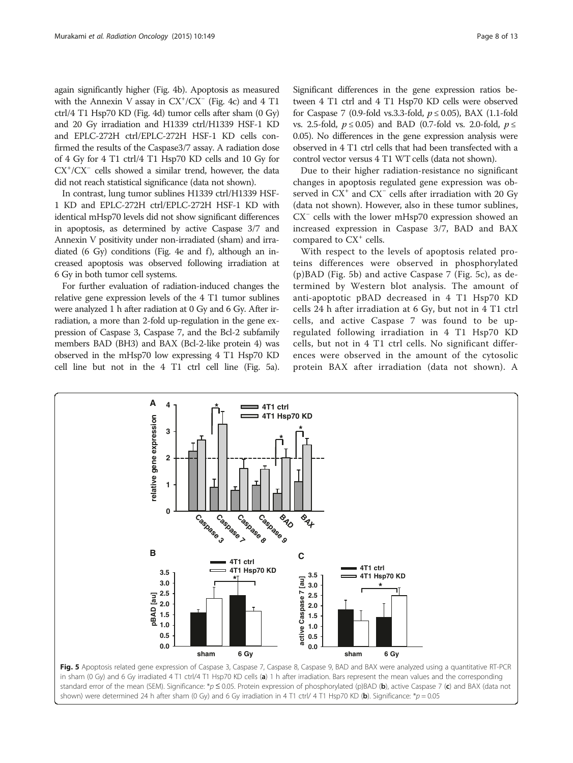again significantly higher (Fig. [4b](#page-6-0)). Apoptosis as measured with the Annexin V assay in  $CX^+/CX^-$  (Fig. [4c](#page-6-0)) and 4 T1 ctrl/4 T1 Hsp70 KD (Fig. [4d](#page-6-0)) tumor cells after sham (0 Gy) and 20 Gy irradiation and H1339 ctrl/H1339 HSF-1 KD and EPLC-272H ctrl/EPLC-272H HSF-1 KD cells confirmed the results of the Caspase3/7 assay. A radiation dose of 4 Gy for 4 T1 ctrl/4 T1 Hsp70 KD cells and 10 Gy for CX<sup>+</sup>/CX<sup>-</sup> cells showed a similar trend, however, the data did not reach statistical significance (data not shown).

In contrast, lung tumor sublines H1339 ctrl/H1339 HSF-1 KD and EPLC-272H ctrl/EPLC-272H HSF-1 KD with identical mHsp70 levels did not show significant differences in apoptosis, as determined by active Caspase 3/7 and Annexin V positivity under non-irradiated (sham) and irradiated  $(6 \text{ Gy})$  conditions (Fig. [4e](#page-6-0) and [f](#page-6-0)), although an increased apoptosis was observed following irradiation at 6 Gy in both tumor cell systems.

For further evaluation of radiation-induced changes the relative gene expression levels of the 4 T1 tumor sublines were analyzed 1 h after radiation at 0 Gy and 6 Gy. After irradiation, a more than 2-fold up-regulation in the gene expression of Caspase 3, Caspase 7, and the Bcl-2 subfamily members BAD (BH3) and BAX (Bcl-2-like protein 4) was observed in the mHsp70 low expressing 4 T1 Hsp70 KD cell line but not in the 4 T1 ctrl cell line (Fig. 5a).

Significant differences in the gene expression ratios between 4 T1 ctrl and 4 T1 Hsp70 KD cells were observed for Caspase 7 (0.9-fold vs.3.3-fold,  $p \le 0.05$ ), BAX (1.1-fold vs. 2.5-fold,  $p \le 0.05$ ) and BAD (0.7-fold vs. 2.0-fold,  $p \le$ 0.05). No differences in the gene expression analysis were observed in 4 T1 ctrl cells that had been transfected with a control vector versus 4 T1 WT cells (data not shown).

Due to their higher radiation-resistance no significant changes in apoptosis regulated gene expression was observed in CX<sup>+</sup> and CX<sup>-</sup> cells after irradiation with 20 Gy (data not shown). However, also in these tumor sublines, CX<sup>−</sup> cells with the lower mHsp70 expression showed an increased expression in Caspase 3/7, BAD and BAX compared to  $CX^+$  cells.

With respect to the levels of apoptosis related proteins differences were observed in phosphorylated (p)BAD (Fig. 5b) and active Caspase 7 (Fig. 5c), as determined by Western blot analysis. The amount of anti-apoptotic pBAD decreased in 4 T1 Hsp70 KD cells 24 h after irradiation at 6 Gy, but not in 4 T1 ctrl cells, and active Caspase 7 was found to be upregulated following irradiation in 4 T1 Hsp70 KD cells, but not in 4 T1 ctrl cells. No significant differences were observed in the amount of the cytosolic protein BAX after irradiation (data not shown). A

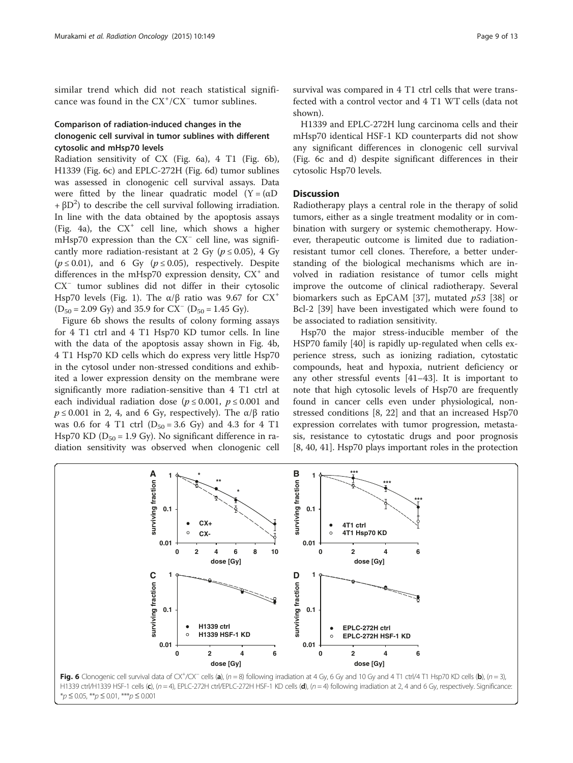similar trend which did not reach statistical significance was found in the  $CX^+/CX^-$  tumor sublines.

## Comparison of radiation-induced changes in the clonogenic cell survival in tumor sublines with different cytosolic and mHsp70 levels

Radiation sensitivity of CX (Fig. 6a), 4 T1 (Fig. 6b), H1339 (Fig. 6c) and EPLC-272H (Fig. 6d) tumor sublines was assessed in clonogenic cell survival assays. Data were fitted by the linear quadratic model  $(Y = (\alpha D))$ +  $\beta$ D<sup>2</sup>) to describe the cell survival following irradiation. In line with the data obtained by the apoptosis assays (Fig. [4a](#page-6-0)), the  $CX^+$  cell line, which shows a higher mHsp70 expression than the CX<sup>−</sup> cell line, was significantly more radiation-resistant at 2 Gy ( $p \le 0.05$ ), 4 Gy  $(p \le 0.01)$ , and 6 Gy  $(p \le 0.05)$ , respectively. Despite differences in the mHsp70 expression density,  $CX^{+}$  and CX<sup>-</sup> tumor sublines did not differ in their cytosolic Hsp70 levels (Fig. [1\)](#page-4-0). The α/β ratio was 9.67 for  $CX^+$  $(D_{50} = 2.09 \text{ Gy})$  and 35.9 for CX<sup>-</sup> (D<sub>50</sub> = 1.45 Gy).

Figure 6b shows the results of colony forming assays for 4 T1 ctrl and 4 T1 Hsp70 KD tumor cells. In line with the data of the apoptosis assay shown in Fig. [4b](#page-6-0), 4 T1 Hsp70 KD cells which do express very little Hsp70 in the cytosol under non-stressed conditions and exhibited a lower expression density on the membrane were significantly more radiation-sensitive than 4 T1 ctrl at each individual radiation dose ( $p \le 0.001$ ,  $p \le 0.001$  and  $p \le 0.001$  in 2, 4, and 6 Gy, respectively). The  $\alpha/\beta$  ratio was 0.6 for 4 T1 ctrl  $(D_{50} = 3.6 \text{ Gy})$  and 4.3 for 4 T1 Hsp70 KD ( $D_{50} = 1.9$  Gy). No significant difference in radiation sensitivity was observed when clonogenic cell survival was compared in 4 T1 ctrl cells that were transfected with a control vector and 4 T1 WT cells (data not shown).

H1339 and EPLC-272H lung carcinoma cells and their mHsp70 identical HSF-1 KD counterparts did not show any significant differences in clonogenic cell survival (Fig. 6c and d) despite significant differences in their cytosolic Hsp70 levels.

### **Discussion**

Radiotherapy plays a central role in the therapy of solid tumors, either as a single treatment modality or in combination with surgery or systemic chemotherapy. However, therapeutic outcome is limited due to radiationresistant tumor cell clones. Therefore, a better understanding of the biological mechanisms which are involved in radiation resistance of tumor cells might improve the outcome of clinical radiotherapy. Several biomarkers such as EpCAM [\[37\]](#page-11-0), mutated  $p53$  [\[38](#page-11-0)] or Bcl-2 [[39](#page-12-0)] have been investigated which were found to be associated to radiation sensitivity.

Hsp70 the major stress-inducible member of the HSP70 family [\[40](#page-12-0)] is rapidly up-regulated when cells experience stress, such as ionizing radiation, cytostatic compounds, heat and hypoxia, nutrient deficiency or any other stressful events [\[41](#page-12-0)–[43\]](#page-12-0). It is important to note that high cytosolic levels of Hsp70 are frequently found in cancer cells even under physiological, nonstressed conditions [\[8](#page-11-0), [22\]](#page-11-0) and that an increased Hsp70 expression correlates with tumor progression, metastasis, resistance to cytostatic drugs and poor prognosis [[8,](#page-11-0) [40, 41\]](#page-12-0). Hsp70 plays important roles in the protection

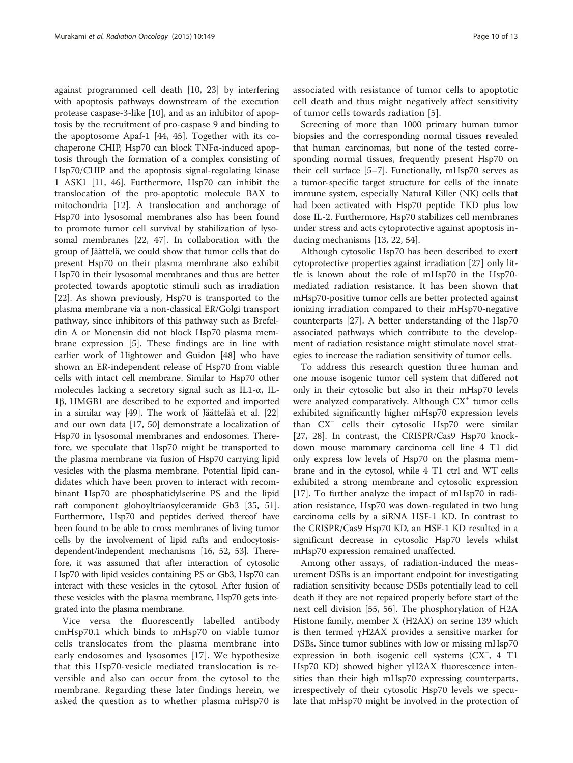against programmed cell death [[10, 23\]](#page-11-0) by interfering with apoptosis pathways downstream of the execution protease caspase-3-like [\[10](#page-11-0)], and as an inhibitor of apoptosis by the recruitment of pro-caspase 9 and binding to the apoptosome Apaf-1 [[44](#page-12-0), [45\]](#page-12-0). Together with its cochaperone CHIP, Hsp70 can block TNFα-induced apoptosis through the formation of a complex consisting of Hsp70/CHIP and the apoptosis signal-regulating kinase 1 ASK1 [\[11](#page-11-0), [46](#page-12-0)]. Furthermore, Hsp70 can inhibit the translocation of the pro-apoptotic molecule BAX to mitochondria [[12\]](#page-11-0). A translocation and anchorage of Hsp70 into lysosomal membranes also has been found to promote tumor cell survival by stabilization of lysosomal membranes [[22](#page-11-0), [47\]](#page-12-0). In collaboration with the group of Jäättelä, we could show that tumor cells that do present Hsp70 on their plasma membrane also exhibit Hsp70 in their lysosomal membranes and thus are better protected towards apoptotic stimuli such as irradiation [[22\]](#page-11-0). As shown previously, Hsp70 is transported to the plasma membrane via a non-classical ER/Golgi transport pathway, since inhibitors of this pathway such as Brefeldin A or Monensin did not block Hsp70 plasma membrane expression [\[5\]](#page-11-0). These findings are in line with earlier work of Hightower and Guidon [\[48\]](#page-12-0) who have shown an ER-independent release of Hsp70 from viable cells with intact cell membrane. Similar to Hsp70 other molecules lacking a secretory signal such as IL1-α, IL-1β, HMGB1 are described to be exported and imported in a similar way [\[49](#page-12-0)]. The work of Jäättelää et al. [[22](#page-11-0)] and our own data [[17,](#page-11-0) [50](#page-12-0)] demonstrate a localization of Hsp70 in lysosomal membranes and endosomes. Therefore, we speculate that Hsp70 might be transported to the plasma membrane via fusion of Hsp70 carrying lipid vesicles with the plasma membrane. Potential lipid candidates which have been proven to interact with recombinant Hsp70 are phosphatidylserine PS and the lipid raft component globoyltriaosylceramide Gb3 [[35](#page-11-0), [51](#page-12-0)]. Furthermore, Hsp70 and peptides derived thereof have been found to be able to cross membranes of living tumor cells by the involvement of lipid rafts and endocytosisdependent/independent mechanisms [[16,](#page-11-0) [52](#page-12-0), [53\]](#page-12-0). Therefore, it was assumed that after interaction of cytosolic Hsp70 with lipid vesicles containing PS or Gb3, Hsp70 can interact with these vesicles in the cytosol. After fusion of these vesicles with the plasma membrane, Hsp70 gets integrated into the plasma membrane.

Vice versa the fluorescently labelled antibody cmHsp70.1 which binds to mHsp70 on viable tumor cells translocates from the plasma membrane into early endosomes and lysosomes [[17](#page-11-0)]. We hypothesize that this Hsp70-vesicle mediated translocation is reversible and also can occur from the cytosol to the membrane. Regarding these later findings herein, we asked the question as to whether plasma mHsp70 is

associated with resistance of tumor cells to apoptotic cell death and thus might negatively affect sensitivity of tumor cells towards radiation [[5](#page-11-0)].

Screening of more than 1000 primary human tumor biopsies and the corresponding normal tissues revealed that human carcinomas, but none of the tested corresponding normal tissues, frequently present Hsp70 on their cell surface [[5](#page-11-0)–[7](#page-11-0)]. Functionally, mHsp70 serves as a tumor-specific target structure for cells of the innate immune system, especially Natural Killer (NK) cells that had been activated with Hsp70 peptide TKD plus low dose IL-2. Furthermore, Hsp70 stabilizes cell membranes under stress and acts cytoprotective against apoptosis inducing mechanisms [[13, 22,](#page-11-0) [54\]](#page-12-0).

Although cytosolic Hsp70 has been described to exert cytoprotective properties against irradiation [\[27](#page-11-0)] only little is known about the role of mHsp70 in the Hsp70 mediated radiation resistance. It has been shown that mHsp70-positive tumor cells are better protected against ionizing irradiation compared to their mHsp70-negative counterparts [[27](#page-11-0)]. A better understanding of the Hsp70 associated pathways which contribute to the development of radiation resistance might stimulate novel strategies to increase the radiation sensitivity of tumor cells.

To address this research question three human and one mouse isogenic tumor cell system that differed not only in their cytosolic but also in their mHsp70 levels were analyzed comparatively. Although  $CX^{+}$  tumor cells exhibited significantly higher mHsp70 expression levels than CX<sup>−</sup> cells their cytosolic Hsp70 were similar [[27, 28\]](#page-11-0). In contrast, the CRISPR/Cas9 Hsp70 knockdown mouse mammary carcinoma cell line 4 T1 did only express low levels of Hsp70 on the plasma membrane and in the cytosol, while 4 T1 ctrl and WT cells exhibited a strong membrane and cytosolic expression [[17\]](#page-11-0). To further analyze the impact of mHsp70 in radiation resistance, Hsp70 was down-regulated in two lung carcinoma cells by a siRNA HSF-1 KD. In contrast to the CRISPR/Cas9 Hsp70 KD, an HSF-1 KD resulted in a significant decrease in cytosolic Hsp70 levels whilst mHsp70 expression remained unaffected.

Among other assays, of radiation-induced the measurement DSBs is an important endpoint for investigating radiation sensitivity because DSBs potentially lead to cell death if they are not repaired properly before start of the next cell division [[55](#page-12-0), [56](#page-12-0)]. The phosphorylation of H2A Histone family, member X (H2AX) on serine 139 which is then termed γH2AX provides a sensitive marker for DSBs. Since tumor sublines with low or missing mHsp70 expression in both isogenic cell systems (CX<sup>−</sup> , 4 T1 Hsp70 KD) showed higher γH2AX fluorescence intensities than their high mHsp70 expressing counterparts, irrespectively of their cytosolic Hsp70 levels we speculate that mHsp70 might be involved in the protection of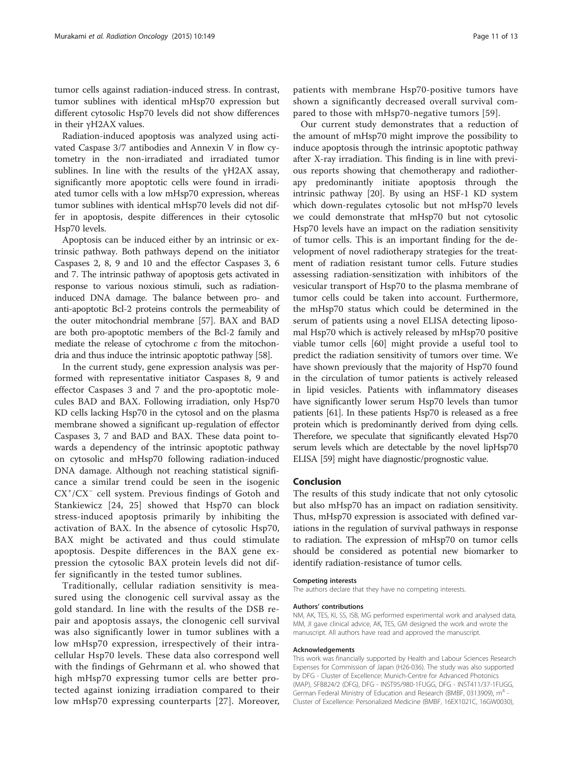tumor cells against radiation-induced stress. In contrast, tumor sublines with identical mHsp70 expression but different cytosolic Hsp70 levels did not show differences in their γH2AX values.

Radiation-induced apoptosis was analyzed using activated Caspase 3/7 antibodies and Annexin V in flow cytometry in the non-irradiated and irradiated tumor sublines. In line with the results of the үH2AX assay, significantly more apoptotic cells were found in irradiated tumor cells with a low mHsp70 expression, whereas tumor sublines with identical mHsp70 levels did not differ in apoptosis, despite differences in their cytosolic Hsp70 levels.

Apoptosis can be induced either by an intrinsic or extrinsic pathway. Both pathways depend on the initiator Caspases 2, 8, 9 and 10 and the effector Caspases 3, 6 and 7. The intrinsic pathway of apoptosis gets activated in response to various noxious stimuli, such as radiationinduced DNA damage. The balance between pro- and anti-apoptotic Bcl-2 proteins controls the permeability of the outer mitochondrial membrane [\[57\]](#page-12-0). BAX and BAD are both pro-apoptotic members of the Bcl-2 family and mediate the release of cytochrome  $c$  from the mitochondria and thus induce the intrinsic apoptotic pathway [\[58\]](#page-12-0).

In the current study, gene expression analysis was performed with representative initiator Caspases 8, 9 and effector Caspases 3 and 7 and the pro-apoptotic molecules BAD and BAX. Following irradiation, only Hsp70 KD cells lacking Hsp70 in the cytosol and on the plasma membrane showed a significant up-regulation of effector Caspases 3, 7 and BAD and BAX. These data point towards a dependency of the intrinsic apoptotic pathway on cytosolic and mHsp70 following radiation-induced DNA damage. Although not reaching statistical significance a similar trend could be seen in the isogenic CX<sup>+</sup>/CX<sup>-</sup> cell system. Previous findings of Gotoh and Stankiewicz [[24, 25](#page-11-0)] showed that Hsp70 can block stress-induced apoptosis primarily by inhibiting the activation of BAX. In the absence of cytosolic Hsp70, BAX might be activated and thus could stimulate apoptosis. Despite differences in the BAX gene expression the cytosolic BAX protein levels did not differ significantly in the tested tumor sublines.

Traditionally, cellular radiation sensitivity is measured using the clonogenic cell survival assay as the gold standard. In line with the results of the DSB repair and apoptosis assays, the clonogenic cell survival was also significantly lower in tumor sublines with a low mHsp70 expression, irrespectively of their intracellular Hsp70 levels. These data also correspond well with the findings of Gehrmann et al. who showed that high mHsp70 expressing tumor cells are better protected against ionizing irradiation compared to their low mHsp70 expressing counterparts [\[27](#page-11-0)]. Moreover, patients with membrane Hsp70-positive tumors have shown a significantly decreased overall survival compared to those with mHsp70-negative tumors [[59\]](#page-12-0).

Our current study demonstrates that a reduction of the amount of mHsp70 might improve the possibility to induce apoptosis through the intrinsic apoptotic pathway after X-ray irradiation. This finding is in line with previous reports showing that chemotherapy and radiotherapy predominantly initiate apoptosis through the intrinsic pathway [[20\]](#page-11-0). By using an HSF-1 KD system which down-regulates cytosolic but not mHsp70 levels we could demonstrate that mHsp70 but not cytosolic Hsp70 levels have an impact on the radiation sensitivity of tumor cells. This is an important finding for the development of novel radiotherapy strategies for the treatment of radiation resistant tumor cells. Future studies assessing radiation-sensitization with inhibitors of the vesicular transport of Hsp70 to the plasma membrane of tumor cells could be taken into account. Furthermore, the mHsp70 status which could be determined in the serum of patients using a novel ELISA detecting liposomal Hsp70 which is actively released by mHsp70 positive viable tumor cells [\[60\]](#page-12-0) might provide a useful tool to predict the radiation sensitivity of tumors over time. We have shown previously that the majority of Hsp70 found in the circulation of tumor patients is actively released in lipid vesicles. Patients with inflammatory diseases have significantly lower serum Hsp70 levels than tumor patients [\[61\]](#page-12-0). In these patients Hsp70 is released as a free protein which is predominantly derived from dying cells. Therefore, we speculate that significantly elevated Hsp70 serum levels which are detectable by the novel lipHsp70 ELISA [\[59](#page-12-0)] might have diagnostic/prognostic value.

#### Conclusion

The results of this study indicate that not only cytosolic but also mHsp70 has an impact on radiation sensitivity. Thus, mHsp70 expression is associated with defined variations in the regulation of survival pathways in response to radiation. The expression of mHsp70 on tumor cells should be considered as potential new biomarker to identify radiation-resistance of tumor cells.

#### Competing interests

The authors declare that they have no competing interests.

#### Authors' contributions

NM, AK, TES, KI, SS, ISB, MG performed experimental work and analysed data, MM, JI gave clinical advice, AK, TES, GM designed the work and wrote the manuscript. All authors have read and approved the manuscript.

#### Acknowledgements

This work was financially supported by Health and Labour Sciences Research Expenses for Commission of Japan (H26-036). The study was also supported by DFG - Cluster of Excellence: Munich-Centre for Advanced Photonics (MAP), SFB824/2 (DFG), DFG - INST95/980-1FUGG, DFG - INST411/37-1FUGG, German Federal Ministry of Education and Research (BMBF, 0313909), m<sup>4</sup> -Cluster of Excellence: Personalized Medicine (BMBF, 16EX1021C, 16GW0030),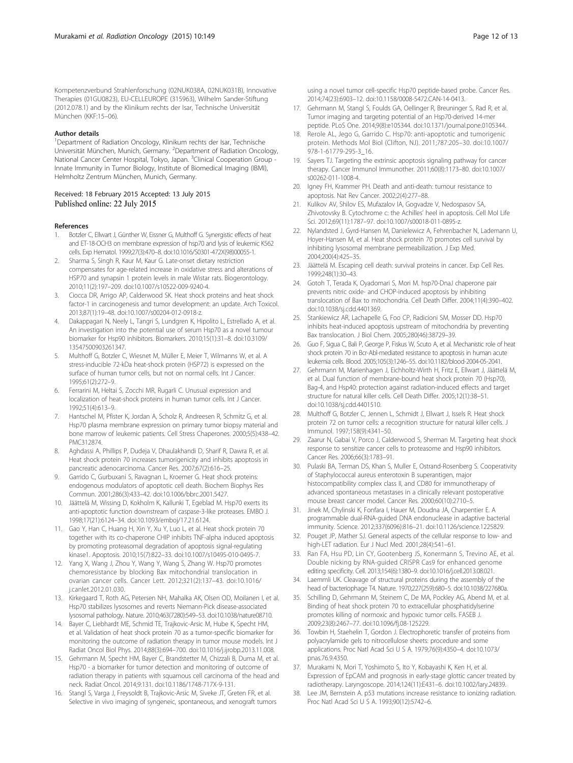<span id="page-11-0"></span>Kompetenzverbund Strahlenforschung (02NUK038A, 02NUK031B), Innovative Therapies (01GU0823), EU-CELLEUROPE (315963), Wilhelm Sander-Stiftung (2012.078.1) and by the Klinikum rechts der Isar, Technische Universität München (KKF:15–06).

#### Author details

<sup>1</sup>Department of Radiation Oncology, Klinikum rechts der Isar, Technische Universität München, Munich, Germany. <sup>2</sup>Department of Radiation Oncology, National Cancer Center Hospital, Tokyo, Japan. <sup>3</sup>Clinical Cooperation Group -Innate Immunity in Tumor Biology, Institute of Biomedical Imaging (IBMI), Helmholtz Zentrum München, Munich, Germany.

#### Received: 18 February 2015 Accepted: 13 July 2015 Published online: 22 July 2015

#### References

- 1. Botzler C, Ellwart J, Günther W, Eissner G, Multhoff G. Synergistic effects of heat and ET-18-OCH3 on membrane expression of hsp70 and lysis of leukemic K562 cells. Exp Hematol. 1999;27(3):470–8. doi:[10.1016/S0301-472X\(98\)00055-1.](http://dx.doi.org/10.1016/S0301-472X(98)00055-1)
- 2. Sharma S, Singh R, Kaur M, Kaur G. Late-onset dietary restriction compensates for age-related increase in oxidative stress and alterations of HSP70 and synapsin 1 protein levels in male Wistar rats. Biogerontology. 2010;11(2):197–209. doi[:10.1007/s10522-009-9240-4.](http://dx.doi.org/10.1007/s10522-009-9240-4)
- 3. Ciocca DR, Arrigo AP, Calderwood SK. Heat shock proteins and heat shock factor-1 in carcinogenesis and tumor development: an update. Arch Toxicol. 2013;87(1):19–48. doi[:10.1007/s00204-012-0918-z](http://dx.doi.org/10.1007/s00204-012-0918-z).
- 4. Dakappagari N, Neely L, Tangri S, Lundgren K, Hipolito L, Estrellado A, et al. An investigation into the potential use of serum Hsp70 as a novel tumour biomarker for Hsp90 inhibitors. Biomarkers. 2010;15(1):31–8. doi:[10.3109/](http://dx.doi.org/10.3109/13547500903261347) [13547500903261347.](http://dx.doi.org/10.3109/13547500903261347)
- 5. Multhoff G, Botzler C, Wiesnet M, Müller E, Meier T, Wilmanns W, et al. A stress-inducible 72-kDa heat-shock protein (HSP72) is expressed on the surface of human tumor cells, but not on normal cells. Int J Cancer. 1995;61(2):272–9.
- 6. Ferrarini M, Heltai S, Zocchi MR, Rugarli C. Unusual expression and localization of heat-shock proteins in human tumor cells. Int J Cancer. 1992;51(4):613–9.
- Hantschel M, Pfister K, Jordan A, Scholz R, Andreesen R, Schmitz G, et al. Hsp70 plasma membrane expression on primary tumor biopsy material and bone marrow of leukemic patients. Cell Stress Chaperones. 2000;5(5):438–42. PMC312874.
- 8. Aghdassi A, Phillips P, Dudeja V, Dhaulakhandi D, Sharif R, Dawra R, et al. Heat shock protein 70 increases tumorigenicity and inhibits apoptosis in pancreatic adenocarcinoma. Cancer Res. 2007;67(2):616–25.
- Garrido C, Gurbuxani S, Ravagnan L, Kroemer G. Heat shock proteins: endogenous modulators of apoptotic cell death. Biochem Biophys Res Commun. 2001;286(3):433–42. doi:[10.1006/bbrc.2001.5427](http://dx.doi.org/10.1006/bbrc.2001.5427).
- 10. Jäättelä M, Wissing D, Kokholm K, Kallunki T, Egeblad M. Hsp70 exerts its anti-apoptotic function downstream of caspase-3-like proteases. EMBO J. 1998;17(21):6124–34. doi:[10.1093/emboj/17.21.6124](http://dx.doi.org/10.1093/emboj/17.21.6124).
- 11. Gao Y, Han C, Huang H, Xin Y, Xu Y, Luo L, et al. Heat shock protein 70 together with its co-chaperone CHIP inhibits TNF-alpha induced apoptosis by promoting proteasomal degradation of apoptosis signal-regulating kinase1. Apoptosis. 2010;15(7):822–33. doi:[10.1007/s10495-010-0495-7.](http://dx.doi.org/10.1007/s10495-010-0495-7)
- 12. Yang X, Wang J, Zhou Y, Wang Y, Wang S, Zhang W. Hsp70 promotes chemoresistance by blocking Bax mitochondrial translocation in ovarian cancer cells. Cancer Lett. 2012;321(2):137–43. doi:[10.1016/](http://dx.doi.org/10.1016/j.canlet.2012.01.030) [j.canlet.2012.01.030.](http://dx.doi.org/10.1016/j.canlet.2012.01.030)
- 13. Kirkegaard T, Roth AG, Petersen NH, Mahalka AK, Olsen OD, Moilanen I, et al. Hsp70 stabilizes lysosomes and reverts Niemann-Pick disease-associated lysosomal pathology. Nature. 2010;463(7280):549–53. doi:[10.1038/nature08710](http://dx.doi.org/10.1038/nature08710).
- 14. Bayer C, Liebhardt ME, Schmid TE, Trajkovic-Arsic M, Hube K, Specht HM, et al. Validation of heat shock protein 70 as a tumor-specific biomarker for monitoring the outcome of radiation therapy in tumor mouse models. Int J Radiat Oncol Biol Phys. 2014;88(3):694–700. doi:[10.1016/j.ijrobp.2013.11.008](http://dx.doi.org/10.1016/j.ijrobp.2013.11.008).
- 15. Gehrmann M, Specht HM, Bayer C, Brandstetter M, Chizzali B, Duma M, et al. Hsp70 - a biomarker for tumor detection and monitoring of outcome of radiation therapy in patients with squamous cell carcinoma of the head and neck. Radiat Oncol. 2014;9:131. doi[:10.1186/1748-717X-9-131](http://dx.doi.org/10.1186/1748-717X-9-131).
- 16. Stangl S, Varga J, Freysoldt B, Trajkovic-Arsic M, Siveke JT, Greten FR, et al. Selective in vivo imaging of syngeneic, spontaneous, and xenograft tumors

using a novel tumor cell-specific Hsp70 peptide-based probe. Cancer Res. 2014;74(23):6903–12. doi:[10.1158/0008-5472.CAN-14-0413.](http://dx.doi.org/10.1158/0008-5472.CAN-14-0413)

- 17. Gehrmann M, Stangl S, Foulds GA, Oellinger R, Breuninger S, Rad R, et al. Tumor imaging and targeting potential of an Hsp70-derived 14-mer peptide. PLoS One. 2014;9(8):e105344. doi[:10.1371/journal.pone.0105344](http://dx.doi.org/10.1371/journal.pone.0105344).
- 18. Rerole AL, Jego G, Garrido C. Hsp70: anti-apoptotic and tumorigenic protein. Methods Mol Biol (Clifton, NJ). 2011;787:205–30. doi:[10.1007/](http://dx.doi.org/10.1007/978-1-61779-295-3_16) [978-1-61779-295-3\\_16.](http://dx.doi.org/10.1007/978-1-61779-295-3_16)
- 19. Sayers TJ. Targeting the extrinsic apoptosis signaling pathway for cancer therapy. Cancer Immunol Immunother. 2011;60(8):1173–80. doi[:10.1007/](http://dx.doi.org/10.1007/s00262-011-1008-4) [s00262-011-1008-4.](http://dx.doi.org/10.1007/s00262-011-1008-4)
- 20. Igney FH, Krammer PH. Death and anti-death: tumour resistance to apoptosis. Nat Rev Cancer. 2002;2(4):277–88.
- 21. Kulikov AV, Shilov ES, Mufazalov IA, Gogvadze V, Nedospasov SA, Zhivotovsky B. Cytochrome c: the Achilles' heel in apoptosis. Cell Mol Life Sci. 2012;69(11):1787–97. doi:[10.1007/s00018-011-0895-z.](http://dx.doi.org/10.1007/s00018-011-0895-z)
- 22. Nylandsted J, Gyrd-Hansen M, Danielewicz A, Fehrenbacher N, Lademann U, Hoyer-Hansen M, et al. Heat shock protein 70 promotes cell survival by inhibiting lysosomal membrane permeabilization. J Exp Med. 2004;200(4):425–35.
- 23. Jäättelä M. Escaping cell death: survival proteins in cancer. Exp Cell Res. 1999;248(1):30–43.
- 24. Gotoh T, Terada K, Oyadomari S, Mori M. hsp70-DnaJ chaperone pair prevents nitric oxide- and CHOP-induced apoptosis by inhibiting translocation of Bax to mitochondria. Cell Death Differ. 2004;11(4):390–402. doi[:10.1038/sj.cdd.4401369](http://dx.doi.org/10.1038/sj.cdd.4401369).
- 25. Stankiewicz AR, Lachapelle G, Foo CP, Radicioni SM, Mosser DD. Hsp70 inhibits heat-induced apoptosis upstream of mitochondria by preventing Bax translocation. J Biol Chem. 2005;280(46):38729–39.
- 26. Guo F, Sigua C, Bali P, George P, Fiskus W, Scuto A, et al. Mechanistic role of heat shock protein 70 in Bcr-Abl-mediated resistance to apoptosis in human acute leukemia cells. Blood. 2005;105(3):1246–55. doi[:10.1182/blood-2004-05-2041.](http://dx.doi.org/10.1182/blood-2004-05-2041)
- 27. Gehrmann M, Marienhagen J, Eichholtz-Wirth H, Fritz E, Ellwart J, Jäättelä M, et al. Dual function of membrane-bound heat shock protein 70 (Hsp70), Bag-4, and Hsp40: protection against radiation-induced effects and target structure for natural killer cells. Cell Death Differ. 2005;12(1):38–51. doi[:10.1038/sj.cdd.4401510](http://dx.doi.org/10.1038/sj.cdd.4401510).
- 28. Multhoff G, Botzler C, Jennen L, Schmidt J, Ellwart J, Issels R. Heat shock protein 72 on tumor cells: a recognition structure for natural killer cells. J Immunol. 1997;158(9):4341–50.
- 29. Zaarur N, Gabai V, Porco J, Calderwood S, Sherman M. Targeting heat shock response to sensitize cancer cells to proteasome and Hsp90 inhibitors. Cancer Res. 2006;66(3):1783–91.
- 30. Pulaski BA, Terman DS, Khan S, Muller E, Ostrand-Rosenberg S. Cooperativity of Staphylococcal aureus enterotoxin B superantigen, major histocompatibility complex class II, and CD80 for immunotherapy of advanced spontaneous metastases in a clinically relevant postoperative mouse breast cancer model. Cancer Res. 2000;60(10):2710–5.
- 31. Jinek M, Chylinski K, Fonfara I, Hauer M, Doudna JA, Charpentier E. A programmable dual-RNA-guided DNA endonuclease in adaptive bacterial immunity. Science. 2012;337(6096):816–21. doi[:10.1126/science.1225829](http://dx.doi.org/10.1126/science.1225829).
- 32. Pouget JP, Mather SJ. General aspects of the cellular response to low- and high-LET radiation. Eur J Nucl Med. 2001;28(4):541–61.
- 33. Ran FA, Hsu PD, Lin CY, Gootenberg JS, Konermann S, Trevino AE, et al. Double nicking by RNA-guided CRISPR Cas9 for enhanced genome editing specificity. Cell. 2013;154(6):1380–9. doi[:10.1016/j.cell.2013.08.021](http://dx.doi.org/10.1016/j.cell.2013.08.021).
- 34. Laemmli UK. Cleavage of structural proteins during the assembly of the head of bacteriophage T4. Nature. 1970;227(259):680–5. doi[:10.1038/227680a.](http://dx.doi.org/10.1038/227680a)
- 35. Schilling D, Gehrmann M, Steinem C, De MA, Pockley AG, Abend M, et al. Binding of heat shock protein 70 to extracellular phosphatidylserine promotes killing of normoxic and hypoxic tumor cells. FASEB J. 2009;23(8):2467–77. doi[:10.1096/fj.08-125229](http://dx.doi.org/10.1096/fj.08-125229).
- 36. Towbin H, Staehelin T, Gordon J. Electrophoretic transfer of proteins from polyacrylamide gels to nitrocellulose sheets: procedure and some applications. Proc Natl Acad Sci U S A. 1979;76(9):4350–4. doi[:10.1073/](http://dx.doi.org/10.1073/pnas.76.9.4350) [pnas.76.9.4350.](http://dx.doi.org/10.1073/pnas.76.9.4350)
- 37. Murakami N, Mori T, Yoshimoto S, Ito Y, Kobayashi K, Ken H, et al. Expression of EpCAM and prognosis in early-stage glottic cancer treated by radiotherapy. Laryngoscope. 2014;124(11):E431–6. doi[:10.1002/lary.24839](http://dx.doi.org/10.1002/lary.24839).
- 38. Lee JM, Bernstein A. p53 mutations increase resistance to ionizing radiation. Proc Natl Acad Sci U S A. 1993;90(12):5742–6.